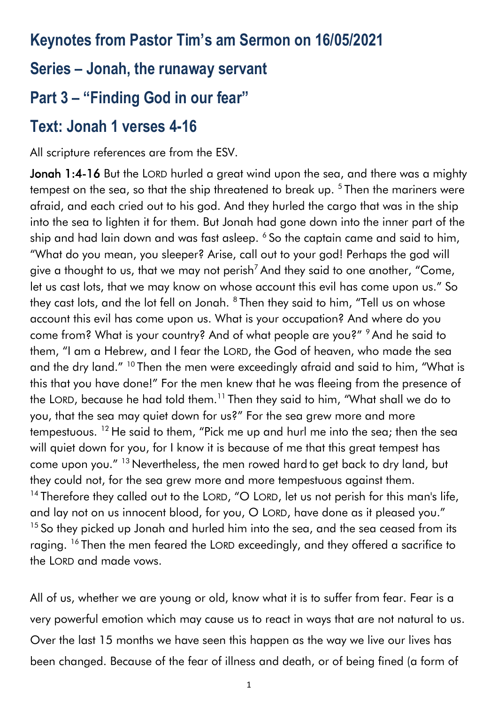# **Keynotes from Pastor Tim's am Sermon on 16/05/2021**

### **Series – Jonah, the runaway servant**

# **Part 3 – "Finding God in our fear"**

### **Text: Jonah 1 verses 4-16**

All scripture references are from the ESV.

Jonah 1:4-16 But the LORD hurled a great wind upon the sea, and there was a mighty tempest on the sea, so that the ship threatened to break up. <sup>5</sup> Then the mariners were afraid, and each cried out to his god. And they hurled the cargo that was in the ship into the sea to lighten it for them. But Jonah had gone down into the inner part of the ship and had lain down and was fast asleep. <sup>6</sup> So the captain came and said to him, "What do you mean, you sleeper? Arise, call out to your god! Perhaps the god will give a thought to us, that we may not perish<sup>7</sup> And they said to one another, "Come, let us cast lots, that we may know on whose account this evil has come upon us." So they cast lots, and the lot fell on Jonah.  $^8$  Then they said to him, "Tell us on whose account this evil has come upon us. What is your occupation? And where do you come from? What is your country? And of what people are you?" <sup>9</sup> And he said to them, "I am a Hebrew, and I fear the LORD, the God of heaven, who made the sea and the dry land." <sup>10</sup> Then the men were exceedingly afraid and said to him, "What is this that you have done!" For the men knew that he was fleeing from the presence of the LORD, because he had told them.<sup>11</sup> Then they said to him, "What shall we do to you, that the sea may quiet down for us?" For the sea grew more and more tempestuous. <sup>12</sup> He said to them, "Pick me up and hurl me into the sea; then the sea will quiet down for you, for I know it is because of me that this great tempest has come upon you." <sup>13</sup> Nevertheless, the men rowed hard to get back to dry land, but they could not, for the sea grew more and more tempestuous against them. <sup>14</sup> Therefore they called out to the LORD, "O LORD, let us not perish for this man's life, and lay not on us innocent blood, for you, O LORD, have done as it pleased you." <sup>15</sup> So they picked up Jonah and hurled him into the sea, and the sea ceased from its raging. <sup>16</sup> Then the men feared the LORD exceedingly, and they offered a sacrifice to the LORD and made vows.

All of us, whether we are young or old, know what it is to suffer from fear. Fear is a very powerful emotion which may cause us to react in ways that are not natural to us. Over the last 15 months we have seen this happen as the way we live our lives has been changed. Because of the fear of illness and death, or of being fined (a form of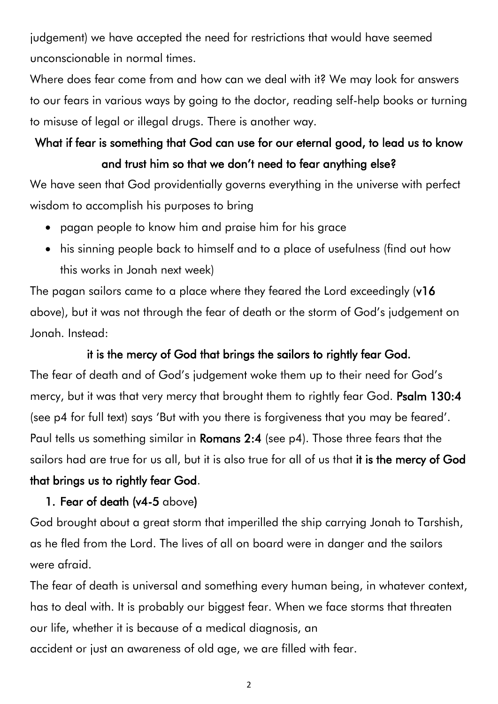judgement) we have accepted the need for restrictions that would have seemed unconscionable in normal times.

Where does fear come from and how can we deal with it? We may look for answers to our fears in various ways by going to the doctor, reading self-help books or turning to misuse of legal or illegal drugs. There is another way.

## What if fear is something that God can use for our eternal good, to lead us to know and trust him so that we don't need to fear anything else?

We have seen that God providentially governs everything in the universe with perfect wisdom to accomplish his purposes to bring

- pagan people to know him and praise him for his grace
- his sinning people back to himself and to a place of usefulness (find out how this works in Jonah next week)

The pagan sailors came to a place where they feared the Lord exceedingly (v16 above), but it was not through the fear of death or the storm of God's judgement on Jonah. Instead:

#### it is the mercy of God that brings the sailors to rightly fear God.

The fear of death and of God's judgement woke them up to their need for God's mercy, but it was that very mercy that brought them to rightly fear God. Psalm 130:4 (see p4 for full text) says 'But with you there is forgiveness that you may be feared'. Paul tells us something similar in Romans 2:4 (see p4). Those three fears that the sailors had are true for us all, but it is also true for all of us that it is the mercy of God that brings us to rightly fear God.

#### 1. Fear of death (v4-5 above)

God brought about a great storm that imperilled the ship carrying Jonah to Tarshish, as he fled from the Lord. The lives of all on board were in danger and the sailors were afraid.

The fear of death is universal and something every human being, in whatever context, has to deal with. It is probably our biggest fear. When we face storms that threaten our life, whether it is because of a medical diagnosis, an accident or just an awareness of old age, we are filled with fear.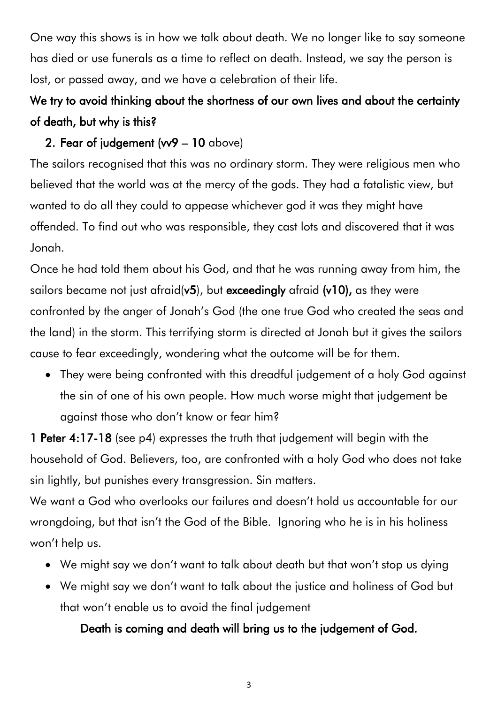One way this shows is in how we talk about death. We no longer like to say someone has died or use funerals as a time to reflect on death. Instead, we say the person is lost, or passed away, and we have a celebration of their life.

## We try to avoid thinking about the shortness of our own lives and about the certainty of death, but why is this?

#### 2. Fear of judgement (vv9 – 10 above)

The sailors recognised that this was no ordinary storm. They were religious men who believed that the world was at the mercy of the gods. They had a fatalistic view, but wanted to do all they could to appease whichever god it was they might have offended. To find out who was responsible, they cast lots and discovered that it was Jonah.

Once he had told them about his God, and that he was running away from him, the sailors became not just afraid(v5), but exceedingly afraid (v10), as they were confronted by the anger of Jonah's God (the one true God who created the seas and the land) in the storm. This terrifying storm is directed at Jonah but it gives the sailors cause to fear exceedingly, wondering what the outcome will be for them.

• They were being confronted with this dreadful judgement of a holy God against the sin of one of his own people. How much worse might that judgement be against those who don't know or fear him?

1 Peter 4:17-18 (see p4) expresses the truth that judgement will begin with the household of God. Believers, too, are confronted with a holy God who does not take sin lightly, but punishes every transgression. Sin matters.

We want a God who overlooks our failures and doesn't hold us accountable for our wrongdoing, but that isn't the God of the Bible. Ignoring who he is in his holiness won't help us.

- We might say we don't want to talk about death but that won't stop us dying
- We might say we don't want to talk about the justice and holiness of God but that won't enable us to avoid the final judgement

Death is coming and death will bring us to the judgement of God.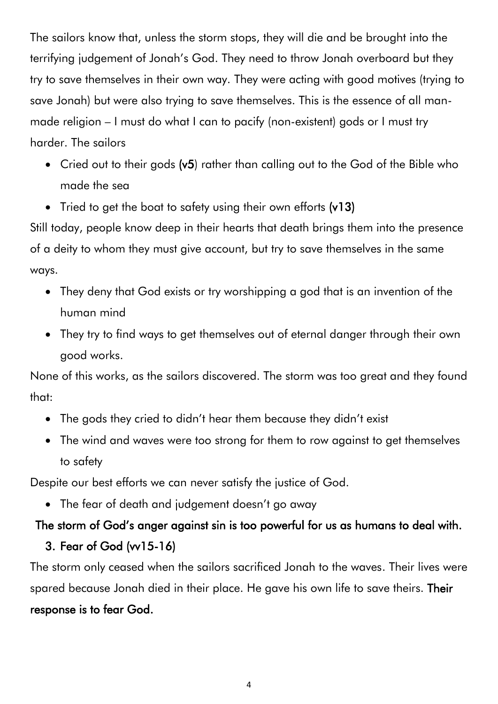The sailors know that, unless the storm stops, they will die and be brought into the terrifying judgement of Jonah's God. They need to throw Jonah overboard but they try to save themselves in their own way. They were acting with good motives (trying to save Jonah) but were also trying to save themselves. This is the essence of all manmade religion – I must do what I can to pacify (non-existent) gods or I must try harder. The sailors

- Cried out to their gods (v5) rather than calling out to the God of the Bible who made the sea
- Tried to get the boat to safety using their own efforts (v13)

Still today, people know deep in their hearts that death brings them into the presence of a deity to whom they must give account, but try to save themselves in the same ways.

- They deny that God exists or try worshipping a god that is an invention of the human mind
- They try to find ways to get themselves out of eternal danger through their own good works.

None of this works, as the sailors discovered. The storm was too great and they found that:

- The gods they cried to didn't hear them because they didn't exist
- The wind and waves were too strong for them to row against to get themselves to safety

Despite our best efforts we can never satisfy the justice of God.

• The fear of death and judgement doesn't go away

### The storm of God's anger against sin is too powerful for us as humans to deal with.

### 3. Fear of God (vv15-16)

The storm only ceased when the sailors sacrificed Jonah to the waves. Their lives were spared because Jonah died in their place. He gave his own life to save theirs. Their response is to fear God.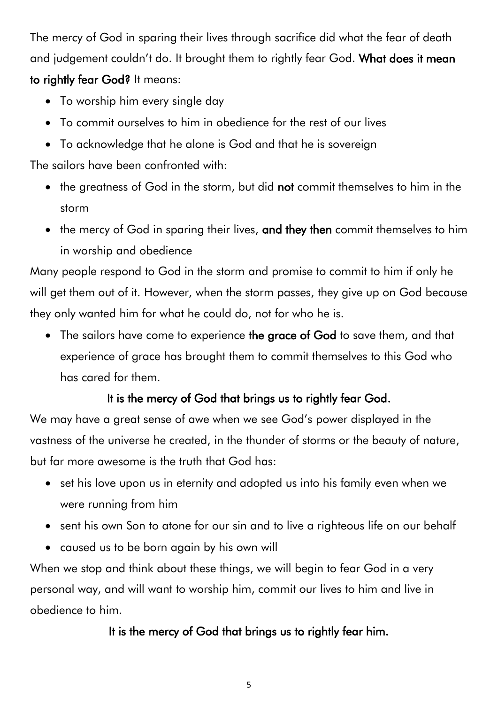The mercy of God in sparing their lives through sacrifice did what the fear of death and judgement couldn't do. It brought them to rightly fear God. What does it mean to rightly fear God? It means:

- To worship him every single day
- To commit ourselves to him in obedience for the rest of our lives
- To acknowledge that he alone is God and that he is sovereign

The sailors have been confronted with:

- the greatness of God in the storm, but did not commit themselves to him in the storm
- the mercy of God in sparing their lives, and they then commit themselves to him in worship and obedience

Many people respond to God in the storm and promise to commit to him if only he will get them out of it. However, when the storm passes, they give up on God because they only wanted him for what he could do, not for who he is.

• The sailors have come to experience the grace of God to save them, and that experience of grace has brought them to commit themselves to this God who has cared for them.

### It is the mercy of God that brings us to rightly fear God.

We may have a great sense of awe when we see God's power displayed in the vastness of the universe he created, in the thunder of storms or the beauty of nature, but far more awesome is the truth that God has:

- set his love upon us in eternity and adopted us into his family even when we were running from him
- sent his own Son to atone for our sin and to live a righteous life on our behalf
- caused us to be born again by his own will

When we stop and think about these things, we will begin to fear God in a very personal way, and will want to worship him, commit our lives to him and live in obedience to him.

### It is the mercy of God that brings us to rightly fear him.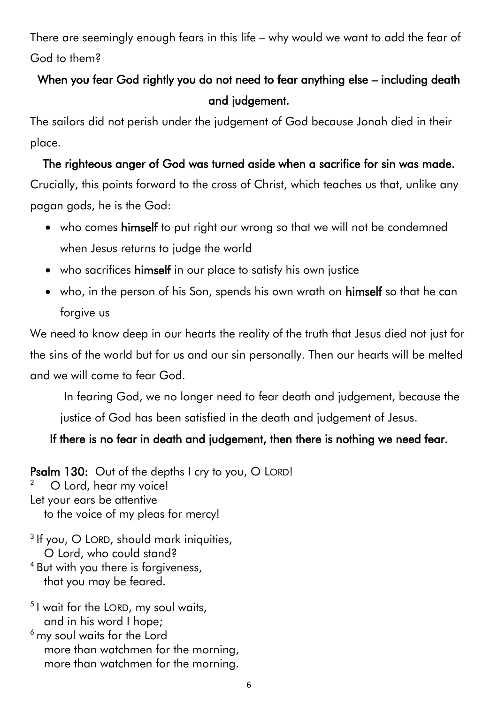There are seemingly enough fears in this life – why would we want to add the fear of God to them?

### When you fear God rightly you do not need to fear anything else – including death and judgement.

The sailors did not perish under the judgement of God because Jonah died in their place.

#### The righteous anger of God was turned aside when a sacrifice for sin was made.

Crucially, this points forward to the cross of Christ, which teaches us that, unlike any pagan gods, he is the God:

- who comes himself to put right our wrong so that we will not be condemned when Jesus returns to judge the world
- who sacrifices himself in our place to satisfy his own justice
- who, in the person of his Son, spends his own wrath on himself so that he can forgive us

We need to know deep in our hearts the reality of the truth that Jesus died not just for the sins of the world but for us and our sin personally. Then our hearts will be melted and we will come to fear God.

In fearing God, we no longer need to fear death and judgement, because the

justice of God has been satisfied in the death and judgement of Jesus.

#### If there is no fear in death and judgement, then there is nothing we need fear.

Psalm 130: Out of the depths I cry to you, O LORD! 2 O Lord, hear my voice! Let your ears be attentive to the voice of my pleas for mercy! <sup>3</sup> If you, O LORD, should mark iniquities,

O Lord, who could stand?

- <sup>4</sup> But with you there is forgiveness, that you may be feared.
- 5 I wait for the LORD, my soul waits, and in his word I hope;
- $<sup>6</sup>$  my soul waits for the Lord</sup> more than watchmen for the morning, more than watchmen for the morning.